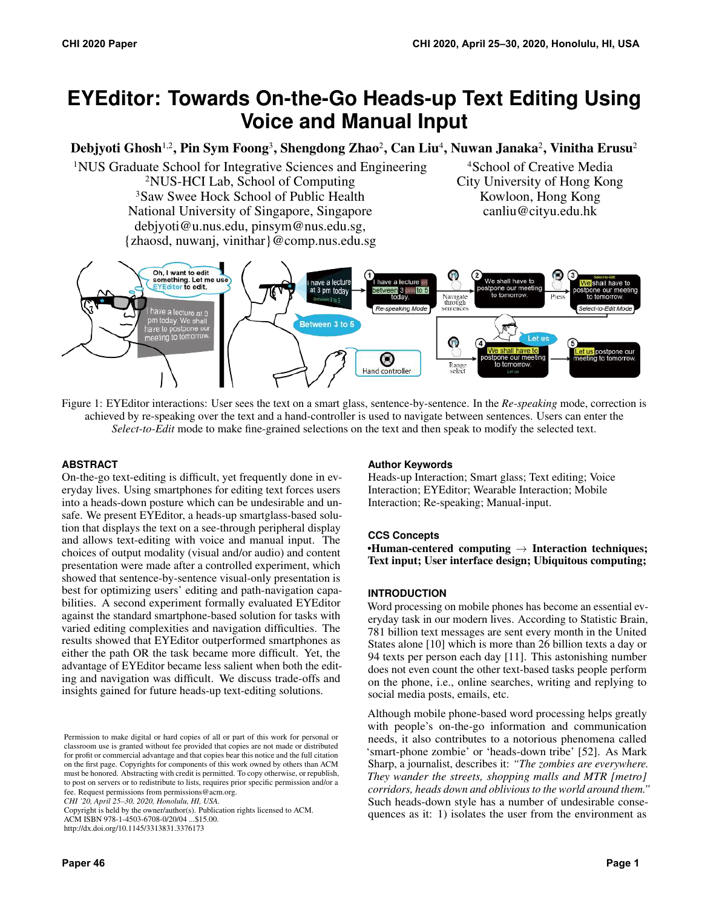# **EYEditor: Towards On-the-Go Heads-up Text Editing Using Voice and Manual Input**

Debjyoti Ghosh<sup>1,2</sup>, Pin Sym Foong<sup>3</sup>, Shengdong Zhao<sup>2</sup>, Can Liu<sup>4</sup>, Nuwan Janaka<sup>2</sup>, Vinitha Erusu<sup>2</sup>

<sup>1</sup>NUS Graduate School for Integrative Sciences and Engineering <sup>4</sup>School of Creative Media 2NUS-HCI Lab, School of Computing City University of Hong Kong <sup>3</sup>Saw Swee Hock School of Public Health Kowloon, Hong Kong National University of Singapore, Singapore canliu@cityu.edu.hk [debjyoti@u.nus.edu](mailto:debjyoti@u.nus.edu), pinsym@nus.edu.sg, {zhaosd, nuwanj, vinithar}@comp.nus.edu.sg



<span id="page-0-0"></span>Figure 1: EYEditor interactions: User sees the text on a smart glass, sentence-by-sentence. In the *Re-speaking* mode, correction is achieved by re-speaking over the text and a hand-controller is used to navigate between sentences. Users can enter the *Select-to-Edit* mode to make fine-grained selections on the text and then speak to modify the selected text.

### **ABSTRACT**

On-the-go text-editing is difficult, yet frequently done in everyday lives. Using smartphones for editing text forces users into a heads-down posture which can be undesirable and unsafe. We present EYEditor, a heads-up smartglass-based solution that displays the text on a see-through peripheral display and allows text-editing with voice and manual input. The choices of output modality (visual and/or audio) and content presentation were made after a controlled experiment, which showed that sentence-by-sentence visual-only presentation is best for optimizing users' editing and path-navigation capabilities. A second experiment formally evaluated EYEditor against the standard smartphone-based solution for tasks with varied editing complexities and navigation difficulties. The results showed that EYEditor outperformed smartphones as either the path OR the task became more difficult. Yet, the advantage of EYEditor became less salient when both the editing and navigation was difficult. We discuss trade-offs and insights gained for future heads-up text-editing solutions.

*CHI '20, April 25–30, 2020, Honolulu, HI, USA.* 

Copyright is held by the owner/author(s). Publication rights licensed to ACM. ACM ISBN 978-1-4503-6708-0/20/04 ...\$15.00.

<http://dx.doi.org/10.1145/3313831.3376173>

### **Author Keywords**

Heads-up Interaction; Smart glass; Text editing; Voice Interaction; EYEditor; Wearable Interaction; Mobile Interaction; Re-speaking; Manual-input.

### **CCS Concepts**

•Human-centered computing  $\rightarrow$  Interaction techniques; Text input; User interface design; Ubiquitous computing;

### **INTRODUCTION**

Word processing on mobile phones has become an essential everyday task in our modern lives. According to Statistic Brain, 781 billion text messages are sent every month in the United States alone [\[10\]](#page-10-0) which is more than 26 billion texts a day or 94 texts per person each day [\[11\]](#page-10-1). This astonishing number does not even count the other text-based tasks people perform on the phone, i.e., online searches, writing and replying to social media posts, emails, etc.

Although mobile phone-based word processing helps greatly with people's on-the-go information and communication needs, it also contributes to a notorious phenomena called 'smart-phone zombie' or 'heads-down tribe' [\[52\]](#page-12-0). As Mark Sharp, a journalist, describes it: *"The zombies are everywhere. They wander the streets, shopping malls and MTR [metro] corridors, heads down and oblivious to the world around them."*  Such heads-down style has a number of undesirable consequences as it: 1) isolates the user from the environment as

Permission to make digital or hard copies of all or part of this work for personal or classroom use is granted without fee provided that copies are not made or distributed for profit or commercial advantage and that copies bear this notice and the full citation on the first page. Copyrights for components of this work owned by others than ACM must be honored. Abstracting with credit is permitted. To copy otherwise, or republish, to post on servers or to redistribute to lists, requires prior specific permission and/or a fee. Request permissions from [permissions@acm.org](mailto:permissions@acm.org).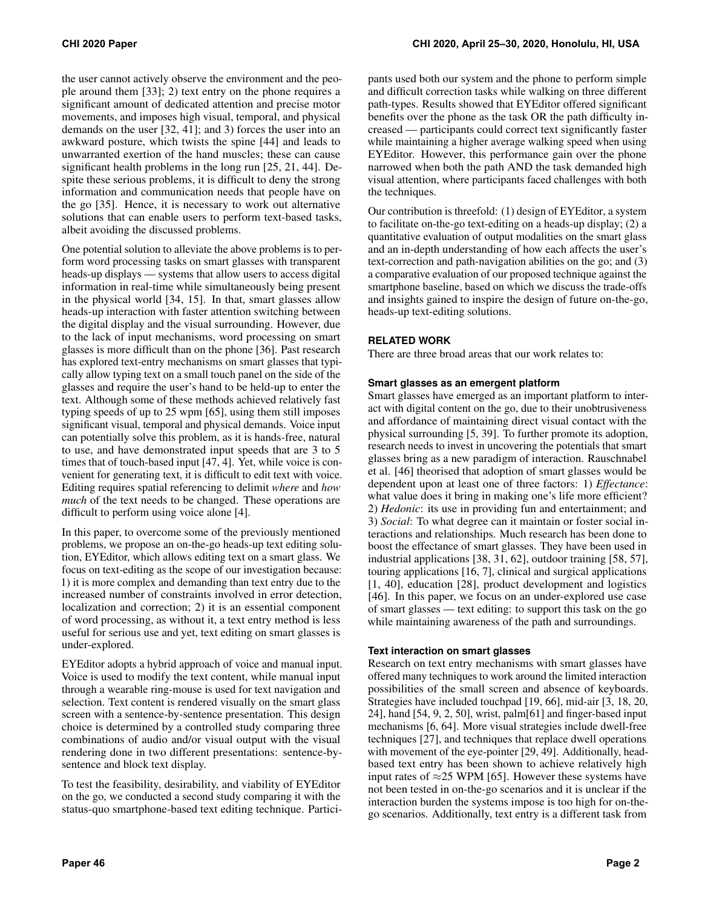the user cannot actively observe the environment and the people around them [\[33\]](#page-11-0); 2) text entry on the phone requires a significant amount of dedicated attention and precise motor movements, and imposes high visual, temporal, and physical demands on the user [\[32,](#page-11-1) [41\]](#page-11-2); and 3) forces the user into an awkward posture, which twists the spine [\[44\]](#page-11-3) and leads to unwarranted exertion of the hand muscles; these can cause significant health problems in the long run [\[25,](#page-11-4) [21,](#page-10-2) [44\]](#page-11-3). Despite these serious problems, it is difficult to deny the strong information and communication needs that people have on the go [\[35\]](#page-11-5). Hence, it is necessary to work out alternative solutions that can enable users to perform text-based tasks, albeit avoiding the discussed problems.

One potential solution to alleviate the above problems is to perform word processing tasks on smart glasses with transparent heads-up displays — systems that allow users to access digital information in real-time while simultaneously being present in the physical world [\[34,](#page-11-6) [15\]](#page-10-3). In that, smart glasses allow heads-up interaction with faster attention switching between the digital display and the visual surrounding. However, due to the lack of input mechanisms, word processing on smart glasses is more difficult than on the phone [\[36\]](#page-11-7). Past research has explored text-entry mechanisms on smart glasses that typically allow typing text on a small touch panel on the side of the glasses and require the user's hand to be held-up to enter the text. Although some of these methods achieved relatively fast typing speeds of up to 25 wpm [\[65\]](#page-12-1), using them still imposes significant visual, temporal and physical demands. Voice input can potentially solve this problem, as it is hands-free, natural to use, and have demonstrated input speeds that are 3 to 5 times that of touch-based input [\[47,](#page-11-8) [4\]](#page-10-4). Yet, while voice is convenient for generating text, it is difficult to edit text with voice. Editing requires spatial referencing to delimit *where* and *how much* of the text needs to be changed. These operations are difficult to perform using voice alone [\[4\]](#page-10-4).

In this paper, to overcome some of the previously mentioned problems, we propose an on-the-go heads-up text editing solution, EYEditor, which allows editing text on a smart glass. We focus on text-editing as the scope of our investigation because: 1) it is more complex and demanding than text entry due to the increased number of constraints involved in error detection, localization and correction; 2) it is an essential component of word processing, as without it, a text entry method is less useful for serious use and yet, text editing on smart glasses is under-explored.

EYEditor adopts a hybrid approach of voice and manual input. Voice is used to modify the text content, while manual input through a wearable ring-mouse is used for text navigation and selection. Text content is rendered visually on the smart glass screen with a sentence-by-sentence presentation. This design choice is determined by a controlled study comparing three combinations of audio and/or visual output with the visual rendering done in two different presentations: sentence-bysentence and block text display.

To test the feasibility, desirability, and viability of EYEditor on the go, we conducted a second study comparing it with the status-quo smartphone-based text editing technique. Participants used both our system and the phone to perform simple and difficult correction tasks while walking on three different path-types. Results showed that EYEditor offered significant benefits over the phone as the task OR the path difficulty increased — participants could correct text significantly faster while maintaining a higher average walking speed when using EYEditor. However, this performance gain over the phone narrowed when both the path AND the task demanded high visual attention, where participants faced challenges with both the techniques.

Our contribution is threefold: (1) design of EYEditor, a system to facilitate on-the-go text-editing on a heads-up display; (2) a quantitative evaluation of output modalities on the smart glass and an in-depth understanding of how each affects the user's text-correction and path-navigation abilities on the go; and (3) a comparative evaluation of our proposed technique against the smartphone baseline, based on which we discuss the trade-offs and insights gained to inspire the design of future on-the-go, heads-up text-editing solutions.

### **RELATED WORK**

There are three broad areas that our work relates to:

### **Smart glasses as an emergent platform**

Smart glasses have emerged as an important platform to interact with digital content on the go, due to their unobtrusiveness and affordance of maintaining direct visual contact with the physical surrounding [\[5,](#page-10-5) [39\]](#page-11-9). To further promote its adoption, research needs to invest in uncovering the potentials that smart glasses bring as a new paradigm of interaction. Rauschnabel et al. [\[46\]](#page-11-10) theorised that adoption of smart glasses would be dependent upon at least one of three factors: 1) *Effectance*: what value does it bring in making one's life more efficient? 2) *Hedonic*: its use in providing fun and entertainment; and 3) *Social*: To what degree can it maintain or foster social interactions and relationships. Much research has been done to boost the effectance of smart glasses. They have been used in industrial applications [\[38,](#page-11-11) [31,](#page-11-12) [62\]](#page-12-2), outdoor training [\[58,](#page-12-3) [57\]](#page-12-4), touring applications [\[16,](#page-10-6) [7\]](#page-10-7), clinical and surgical applications [\[1,](#page-9-0) [40\]](#page-11-13), education [\[28\]](#page-11-14), product development and logistics [\[46\]](#page-11-10). In this paper, we focus on an under-explored use case of smart glasses — text editing: to support this task on the go while maintaining awareness of the path and surroundings.

### **Text interaction on smart glasses**

Research on text entry mechanisms with smart glasses have offered many techniques to work around the limited interaction possibilities of the small screen and absence of keyboards. Strategies have included touchpad [\[19,](#page-10-8) [66\]](#page-12-5), mid-air [\[3,](#page-10-9) [18,](#page-10-10) [20,](#page-10-11) [24\]](#page-10-12), hand [\[54,](#page-12-6) [9,](#page-10-13) [2,](#page-10-14) [50\]](#page-12-7), wrist, palm[\[61\]](#page-12-8) and finger-based input mechanisms [\[6,](#page-10-15) [64\]](#page-12-9). More visual strategies include dwell-free techniques [\[27\]](#page-11-15), and techniques that replace dwell operations with movement of the eye-pointer [\[29,](#page-11-16) [49\]](#page-12-10). Additionally, headbased text entry has been shown to achieve relatively high input rates of  $\approx$ 25 WPM [\[65\]](#page-12-1). However these systems have not been tested in on-the-go scenarios and it is unclear if the interaction burden the systems impose is too high for on-thego scenarios. Additionally, text entry is a different task from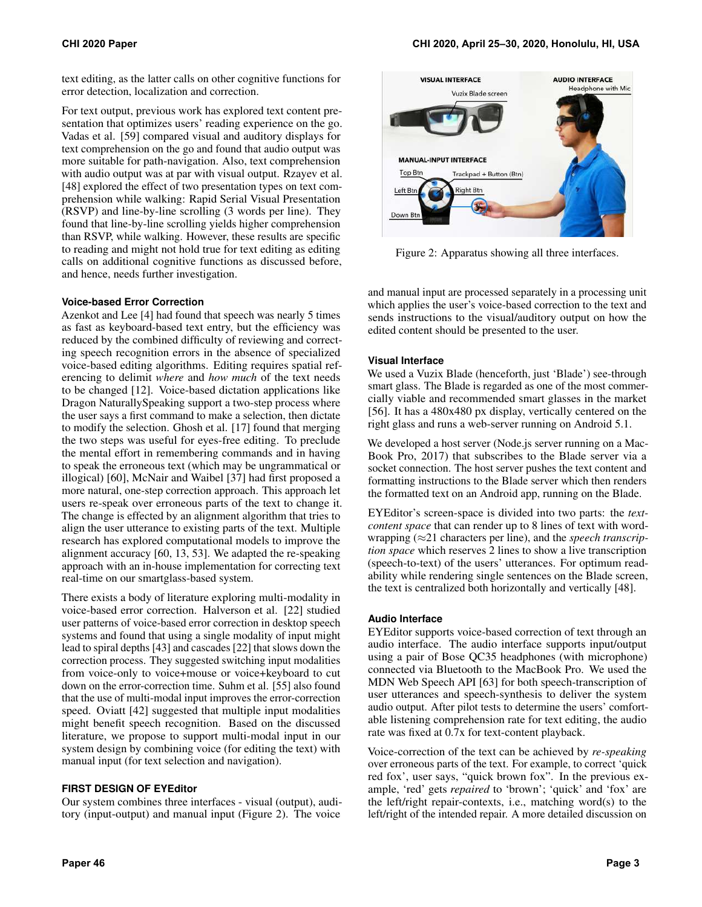text editing, as the latter calls on other cognitive functions for error detection, localization and correction.

For text output, previous work has explored text content presentation that optimizes users' reading experience on the go. Vadas et al. [\[59\]](#page-12-11) compared visual and auditory displays for text comprehension on the go and found that audio output was more suitable for path-navigation. Also, text comprehension with audio output was at par with visual output. Rzayev et al. [\[48\]](#page-12-12) explored the effect of two presentation types on text comprehension while walking: Rapid Serial Visual Presentation (RSVP) and line-by-line scrolling (3 words per line). They found that line-by-line scrolling yields higher comprehension than RSVP, while walking. However, these results are specific to reading and might not hold true for text editing as editing calls on additional cognitive functions as discussed before, and hence, needs further investigation.

### **Voice-based Error Correction**

Azenkot and Lee [\[4\]](#page-10-4) had found that speech was nearly 5 times as fast as keyboard-based text entry, but the efficiency was reduced by the combined difficulty of reviewing and correcting speech recognition errors in the absence of specialized voice-based editing algorithms. Editing requires spatial referencing to delimit *where* and *how much* of the text needs to be changed [\[12\]](#page-10-16). Voice-based dictation applications like Dragon NaturallySpeaking support a two-step process where the user says a first command to make a selection, then dictate to modify the selection. Ghosh et al. [\[17\]](#page-10-17) found that merging the two steps was useful for eyes-free editing. To preclude the mental effort in remembering commands and in having to speak the erroneous text (which may be ungrammatical or illogical) [\[60\]](#page-12-13), McNair and Waibel [\[37\]](#page-11-17) had first proposed a more natural, one-step correction approach. This approach let users re-speak over erroneous parts of the text to change it. The change is effected by an alignment algorithm that tries to align the user utterance to existing parts of the text. Multiple research has explored computational models to improve the alignment accuracy [\[60,](#page-12-13) [13,](#page-10-18) [53\]](#page-12-14). We adapted the re-speaking approach with an in-house implementation for correcting text real-time on our smartglass-based system.

There exists a body of literature exploring multi-modality in voice-based error correction. Halverson et al. [\[22\]](#page-10-19) studied user patterns of voice-based error correction in desktop speech systems and found that using a single modality of input might lead to spiral depths [\[43\]](#page-11-18) and cascades [\[22\]](#page-10-19) that slows down the correction process. They suggested switching input modalities from voice-only to voice+mouse or voice+keyboard to cut down on the error-correction time. Suhm et al. [\[55\]](#page-12-15) also found that the use of multi-modal input improves the error-correction speed. Oviatt [\[42\]](#page-11-19) suggested that multiple input modalities might benefit speech recognition. Based on the discussed literature, we propose to support multi-modal input in our system design by combining voice (for editing the text) with manual input (for text selection and navigation).

### **FIRST DESIGN OF EYEditor**

Our system combines three interfaces - visual (output), auditory (input-output) and manual input (Figure [2\)](#page-2-0). The voice

<span id="page-2-0"></span>

Figure 2: Apparatus showing all three interfaces.

and manual input are processed separately in a processing unit which applies the user's voice-based correction to the text and sends instructions to the visual/auditory output on how the edited content should be presented to the user.

### **Visual Interface**

We used a Vuzix Blade (henceforth, just 'Blade') see-through smart glass. The Blade is regarded as one of the most commercially viable and recommended smart glasses in the market [\[56\]](#page-12-16). It has a 480x480 px display, vertically centered on the right glass and runs a web-server running on Android 5.1.

We developed a host server (Node.js server running on a Mac-Book Pro, 2017) that subscribes to the Blade server via a socket connection. The host server pushes the text content and formatting instructions to the Blade server which then renders the formatted text on an Android app, running on the Blade.

EYEditor's screen-space is divided into two parts: the *textcontent space* that can render up to 8 lines of text with wordwrapping (≈21 characters per line), and the *speech transcription space* which reserves 2 lines to show a live transcription (speech-to-text) of the users' utterances. For optimum readability while rendering single sentences on the Blade screen, the text is centralized both horizontally and vertically [\[48\]](#page-12-12).

### **Audio Interface**

EYEditor supports voice-based correction of text through an audio interface. The audio interface supports input/output using a pair of Bose QC35 headphones (with microphone) connected via Bluetooth to the MacBook Pro. We used the MDN Web Speech API [\[63\]](#page-12-17) for both speech-transcription of user utterances and speech-synthesis to deliver the system audio output. After pilot tests to determine the users' comfortable listening comprehension rate for text editing, the audio rate was fixed at 0.7x for text-content playback.

Voice-correction of the text can be achieved by *re-speaking*  over erroneous parts of the text. For example, to correct 'quick red fox', user says, "quick brown fox". In the previous example, 'red' gets *repaired* to 'brown'; 'quick' and 'fox' are the left/right repair-contexts, i.e., matching word(s) to the left/right of the intended repair. A more detailed discussion on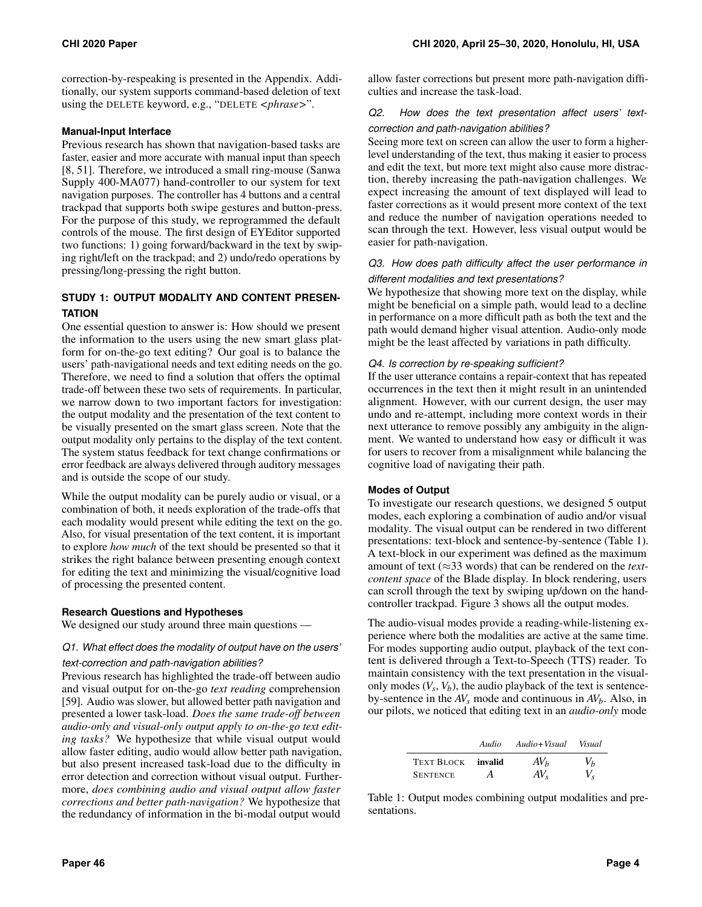correction-by-respeaking is presented in the Appendix. Additionally, our system supports command-based deletion of text using the DELETE keyword, e.g., "DELETE *<phrase>*".

### **Manual-Input Interface**

Previous research has shown that navigation-based tasks are faster, easier and more accurate with manual input than speech [\[8,](#page-10-20) [51\]](#page-12-18). Therefore, we introduced a small ring-mouse (Sanwa Supply 400-MA077) hand-controller to our system for text navigation purposes. The controller has 4 buttons and a central trackpad that supports both swipe gestures and button-press. For the purpose of this study, we reprogrammed the default controls of the mouse. The first design of EYEditor supported two functions: 1) going forward/backward in the text by swiping right/left on the trackpad; and 2) undo/redo operations by pressing/long-pressing the right button.

### **STUDY 1: OUTPUT MODALITY AND CONTENT PRESEN-TATION**

One essential question to answer is: How should we present the information to the users using the new smart glass platform for on-the-go text editing? Our goal is to balance the users' path-navigational needs and text editing needs on the go. Therefore, we need to find a solution that offers the optimal trade-off between these two sets of requirements. In particular, we narrow down to two important factors for investigation: the output modality and the presentation of the text content to be visually presented on the smart glass screen. Note that the output modality only pertains to the display of the text content. The system status feedback for text change confirmations or error feedback are always delivered through auditory messages and is outside the scope of our study.

While the output modality can be purely audio or visual, or a combination of both, it needs exploration of the trade-offs that each modality would present while editing the text on the go. Also, for visual presentation of the text content, it is important to explore *how much* of the text should be presented so that it strikes the right balance between presenting enough context for editing the text and minimizing the visual/cognitive load of processing the presented content.

### **Research Questions and Hypotheses**

We designed our study around three main questions —

## *Q1. What effect does the modality of output have on the users'*

### *text-correction and path-navigation abilities?*

Previous research has highlighted the trade-off between audio and visual output for on-the-go *text reading* comprehension [\[59\]](#page-12-11). Audio was slower, but allowed better path navigation and presented a lower task-load. *Does the same trade-off between audio-only and visual-only output apply to on-the-go text editing tasks?* We hypothesize that while visual output would allow faster editing, audio would allow better path navigation, but also present increased task-load due to the difficulty in error detection and correction without visual output. Furthermore, *does combining audio and visual output allow faster corrections and better path-navigation?* We hypothesize that the redundancy of information in the bi-modal output would

allow faster corrections but present more path-navigation difficulties and increase the task-load.

### *Q2. How does the text presentation affect users' text-*

### *correction and path-navigation abilities?*

Seeing more text on screen can allow the user to form a higherlevel understanding of the text, thus making it easier to process and edit the text, but more text might also cause more distraction, thereby increasing the path-navigation challenges. We expect increasing the amount of text displayed will lead to faster corrections as it would present more context of the text and reduce the number of navigation operations needed to scan through the text. However, less visual output would be easier for path-navigation.

### *Q3. How does path difficulty affect the user performance in different modalities and text presentations?*

We hypothesize that showing more text on the display, while might be beneficial on a simple path, would lead to a decline in performance on a more difficult path as both the text and the path would demand higher visual attention. Audio-only mode might be the least affected by variations in path difficulty.

### *Q4. Is correction by re-speaking sufficient?*

If the user utterance contains a repair-context that has repeated occurrences in the text then it might result in an unintended alignment. However, with our current design, the user may undo and re-attempt, including more context words in their next utterance to remove possibly any ambiguity in the alignment. We wanted to understand how easy or difficult it was for users to recover from a misalignment while balancing the cognitive load of navigating their path.

### **Modes of Output**

To investigate our research questions, we designed 5 output modes, each exploring a combination of audio and/or visual modality. The visual output can be rendered in two different presentations: text-block and sentence-by-sentence (Table [1\)](#page-3-0). A text-block in our experiment was defined as the maximum amount of text (≈33 words) that can be rendered on the *textcontent space* of the Blade display. In block rendering, users can scroll through the text by swiping up/down on the handcontroller trackpad. Figure [3](#page-4-0) shows all the output modes.

The audio-visual modes provide a reading-while-listening experience where both the modalities are active at the same time. For modes supporting audio output, playback of the text content is delivered through a Text-to-Speech (TTS) reader. To maintain consistency with the text presentation in the visualonly modes  $(V_s, V_b)$ , the audio playback of the text is sentenceby-sentence in the  $AV_s$  mode and continuous in  $AV_b$ . Also, in our pilots, we noticed that editing text in an *audio-only* mode

<span id="page-3-0"></span>

|                 | Audio   | Audio+Visual    | Visual |
|-----------------|---------|-----------------|--------|
| TEXT BLOCK      | invalid | AV <sub>b</sub> | $V_b$  |
| <b>SENTENCE</b> | A       | $AV_{s}$        |        |

Table 1: Output modes combining output modalities and presentations.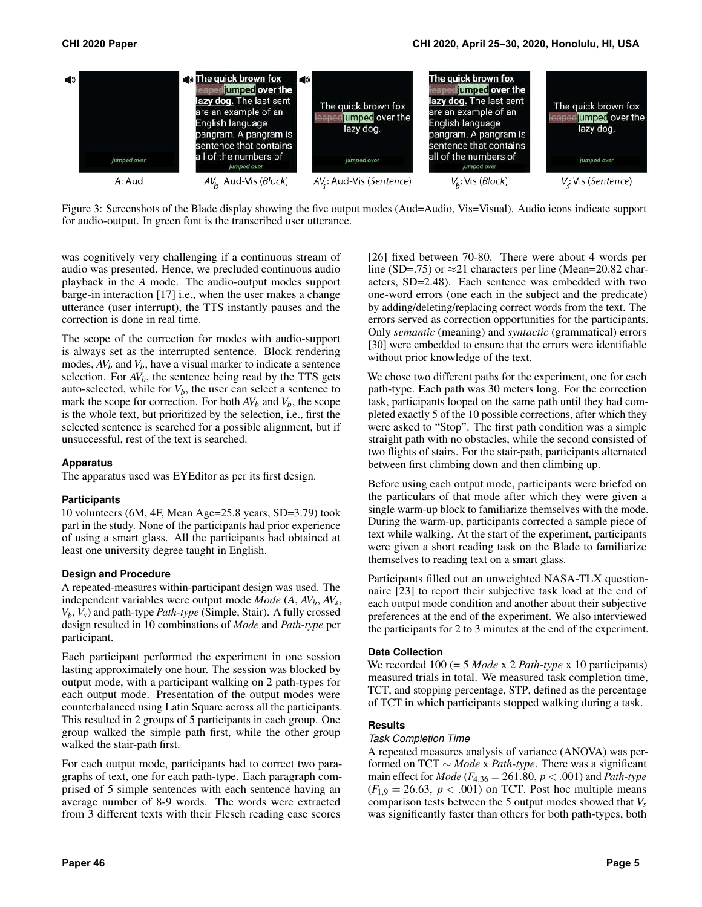<span id="page-4-0"></span>

Figure 3: Screenshots of the Blade display showing the five output modes (Aud=Audio, Vis=Visual). Audio icons indicate support for audio-output. In green font is the transcribed user utterance.

was cognitively very challenging if a continuous stream of audio was presented. Hence, we precluded continuous audio playback in the *A* mode. The audio-output modes support barge-in interaction [\[17\]](#page-10-17) i.e., when the user makes a change utterance (user interrupt), the TTS instantly pauses and the correction is done in real time.

The scope of the correction for modes with audio-support is always set as the interrupted sentence. Block rendering modes,  $AV_b$  and  $V_b$ , have a visual marker to indicate a sentence selection. For  $AV_b$ , the sentence being read by the TTS gets auto-selected, while for  $V_b$ , the user can select a sentence to mark the scope for correction. For both  $AV_b$  and  $V_b$ , the scope is the whole text, but prioritized by the selection, i.e., first the selected sentence is searched for a possible alignment, but if unsuccessful, rest of the text is searched.

### **Apparatus**

The apparatus used was EYEditor as per its first design.

### **Participants**

10 volunteers (6M, 4F, Mean Age=25.8 years, SD=3.79) took part in the study. None of the participants had prior experience of using a smart glass. All the participants had obtained at least one university degree taught in English.

### **Design and Procedure**

A repeated-measures within-participant design was used. The independent variables were output mode  $Mode (A, AV<sub>b</sub>, AV<sub>s</sub>,$ *Vb*, *Vs*) and path-type *Path-type* (Simple, Stair). A fully crossed design resulted in 10 combinations of *Mode* and *Path-type* per participant.

Each participant performed the experiment in one session lasting approximately one hour. The session was blocked by output mode, with a participant walking on 2 path-types for each output mode. Presentation of the output modes were counterbalanced using Latin Square across all the participants. This resulted in 2 groups of 5 participants in each group. One group walked the simple path first, while the other group walked the stair-path first.

For each output mode, participants had to correct two paragraphs of text, one for each path-type. Each paragraph comprised of 5 simple sentences with each sentence having an average number of 8-9 words. The words were extracted from 3 different texts with their Flesch reading ease scores

[\[26\]](#page-11-20) fixed between 70-80. There were about 4 words per line (SD=.75) or  $\approx$ 21 characters per line ([Mean=20.82](https://Mean=20.82) characters, SD=2.48). Each sentence was embedded with two one-word errors (one each in the subject and the predicate) by adding/deleting/replacing correct words from the text. The errors served as correction opportunities for the participants. Only *semantic* (meaning) and *syntactic* (grammatical) errors [\[30\]](#page-11-21) were embedded to ensure that the errors were identifiable without prior knowledge of the text.

We chose two different paths for the experiment, one for each path-type. Each path was 30 meters long. For the correction task, participants looped on the same path until they had completed exactly 5 of the 10 possible corrections, after which they were asked to "Stop". The first path condition was a simple straight path with no obstacles, while the second consisted of two flights of stairs. For the stair-path, participants alternated between first climbing down and then climbing up.

Before using each output mode, participants were briefed on the particulars of that mode after which they were given a single warm-up block to familiarize themselves with the mode. During the warm-up, participants corrected a sample piece of text while walking. At the start of the experiment, participants were given a short reading task on the Blade to familiarize themselves to reading text on a smart glass.

Participants filled out an unweighted NASA-TLX questionnaire [\[23\]](#page-10-21) to report their subjective task load at the end of each output mode condition and another about their subjective preferences at the end of the experiment. We also interviewed the participants for 2 to 3 minutes at the end of the experiment.

### **Data Collection**

We recorded 100 (= 5 *Mode* x 2 *Path-type* x 10 participants) measured trials in total. We measured task completion time, TCT, and stopping percentage, STP, defined as the percentage of TCT in which participants stopped walking during a task.

### **Results**

#### *Task Completion Time*

A repeated measures analysis of variance (ANOVA) was performed on TCT ∼ *Mode* x *Path-type*. There was a significant main effect for *Mode* ( $F_{4,36} = 261.80$ ,  $p < .001$ ) and *Path-type*  $(F_{1,9} = 26.63, p < .001)$  on TCT. Post hoc multiple means comparison tests between the 5 output modes showed that *Vs*  was significantly faster than others for both path-types, both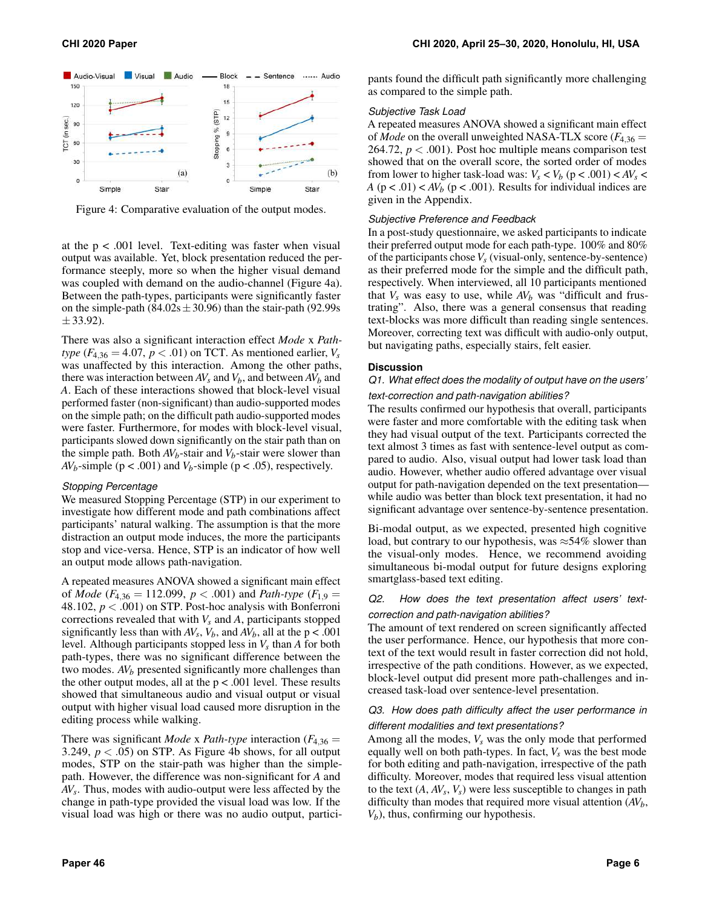<span id="page-5-0"></span>

Figure 4: Comparative evaluation of the output modes.

at the  $p < .001$  level. Text-editing was faster when visual output was available. Yet, block presentation reduced the performance steeply, more so when the higher visual demand was coupled with demand on the audio-channel (Figure [4a](#page-5-0)). Between the path-types, participants were significantly faster on the simple-path  $(84.02s \pm 30.96)$  than the stair-path (92.99s)  $\pm$  33.92).

There was also a significant interaction effect *Mode* x *Pathtype*  $(F_{4,36} = 4.07, p < .01)$  on TCT. As mentioned earlier,  $V_s$ was unaffected by this interaction. Among the other paths, there was interaction between  $AV_s$  and  $V_b$ , and between  $AV_b$  and *A*. Each of these interactions showed that block-level visual performed faster (non-significant) than audio-supported modes on the simple path; on the difficult path audio-supported modes were faster. Furthermore, for modes with block-level visual, participants slowed down significantly on the stair path than on the simple path. Both  $AV_b$ -stair and  $V_b$ -stair were slower than *AV*<sub>*b*</sub>-simple ( $p < .001$ ) and *V*<sub>*b*</sub>-simple ( $p < .05$ ), respectively.

#### *Stopping Percentage*

We measured Stopping Percentage (STP) in our experiment to investigate how different mode and path combinations affect participants' natural walking. The assumption is that the more distraction an output mode induces, the more the participants stop and vice-versa. Hence, STP is an indicator of how well an output mode allows path-navigation.

A repeated measures ANOVA showed a significant main effect of *Mode* ( $F_{4,36} = 112.099$ ,  $p < .001$ ) and *Path-type* ( $F_{1,9} =$ 48.102, *p* < .001) on STP. Post-hoc analysis with Bonferroni corrections revealed that with  $V_s$  and  $A$ , participants stopped significantly less than with  $AV_s$ ,  $V_b$ , and  $AV_b$ , all at the  $p < .001$ level. Although participants stopped less in  $V_s$  than  $A$  for both path-types, there was no significant difference between the two modes.  $AV_b$  presented significantly more challenges than the other output modes, all at the  $p < .001$  level. These results showed that simultaneous audio and visual output or visual output with higher visual load caused more disruption in the editing process while walking.

There was significant *Mode* x *Path-type* interaction  $(F_{4,36} =$ 3.249,  $p < .05$ ) on STP. As Figure [4b](#page-5-0) shows, for all output modes, STP on the stair-path was higher than the simplepath. However, the difference was non-significant for *A* and *AVs*. Thus, modes with audio-output were less affected by the change in path-type provided the visual load was low. If the visual load was high or there was no audio output, partici-

pants found the difficult path significantly more challenging as compared to the simple path.

#### *Subjective Task Load*

A repeated measures ANOVA showed a significant main effect of *Mode* on the overall unweighted NASA-TLX score  $(F_{4,36} =$ 264.72,  $p < .001$ ). Post hoc multiple means comparison test showed that on the overall score, the sorted order of modes from lower to higher task-load was:  $V_s < V_b$  ( $p < .001$ ) <  $AV_s$  < *A* ( $p < .01$ ) < *AV*<sub>b</sub> ( $p < .001$ ). Results for individual indices are given in the Appendix.

#### *Subjective Preference and Feedback*

In a post-study questionnaire, we asked participants to indicate their preferred output mode for each path-type. 100% and 80% of the participants chose  $V_s$  (visual-only, sentence-by-sentence) as their preferred mode for the simple and the difficult path, respectively. When interviewed, all 10 participants mentioned that  $V_s$  was easy to use, while  $AV_b$  was "difficult and frustrating". Also, there was a general consensus that reading text-blocks was more difficult than reading single sentences. Moreover, correcting text was difficult with audio-only output, but navigating paths, especially stairs, felt easier.

#### **Discussion**

### *Q1. What effect does the modality of output have on the users' text-correction and path-navigation abilities?*

The results confirmed our hypothesis that overall, participants were faster and more comfortable with the editing task when they had visual output of the text. Participants corrected the text almost 3 times as fast with sentence-level output as compared to audio. Also, visual output had lower task load than audio. However, whether audio offered advantage over visual output for path-navigation depended on the text presentation while audio was better than block text presentation, it had no significant advantage over sentence-by-sentence presentation.

Bi-modal output, as we expected, presented high cognitive load, but contrary to our hypothesis, was  $\approx$  54% slower than the visual-only modes. Hence, we recommend avoiding simultaneous bi-modal output for future designs exploring smartglass-based text editing.

### *Q2. How does the text presentation affect users' textcorrection and path-navigation abilities?*

The amount of text rendered on screen significantly affected the user performance. Hence, our hypothesis that more context of the text would result in faster correction did not hold, irrespective of the path conditions. However, as we expected, block-level output did present more path-challenges and increased task-load over sentence-level presentation.

### *Q3. How does path difficulty affect the user performance in different modalities and text presentations?*

Among all the modes,  $V_s$  was the only mode that performed equally well on both path-types. In fact,  $V_s$  was the best mode for both editing and path-navigation, irrespective of the path difficulty. Moreover, modes that required less visual attention to the text  $(A, A V_s, V_s)$  were less susceptible to changes in path difficulty than modes that required more visual attention (*AVb*, *V<sub>b</sub>*), thus, confirming our hypothesis.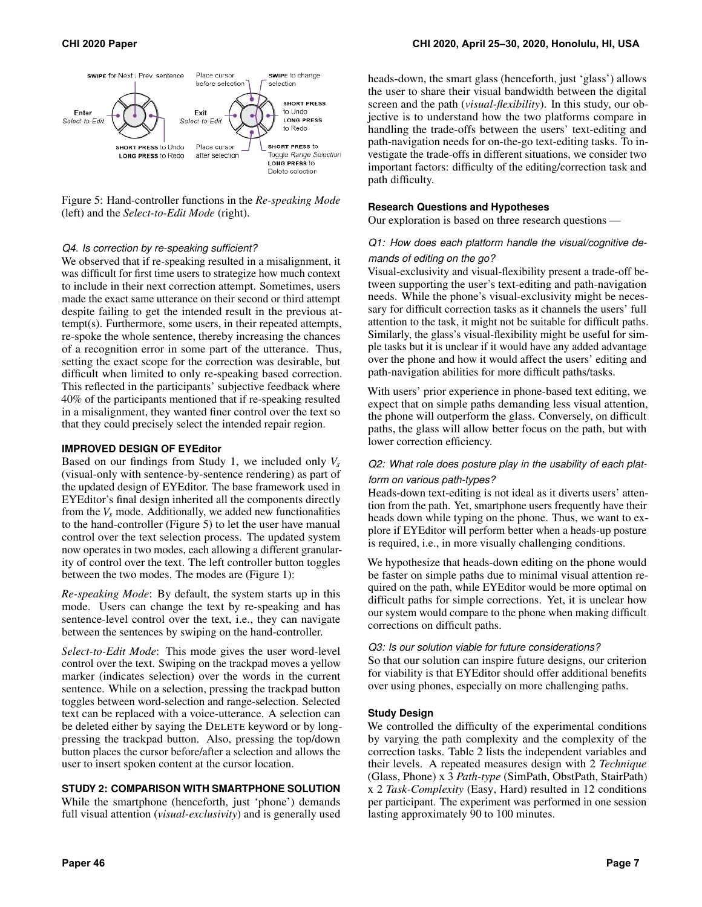<span id="page-6-0"></span>

Figure 5: Hand-controller functions in the *Re-speaking Mode*  (left) and the *Select-to-Edit Mode* (right).

#### *Q4. Is correction by re-speaking sufficient?*

We observed that if re-speaking resulted in a misalignment, it was difficult for first time users to strategize how much context to include in their next correction attempt. Sometimes, users made the exact same utterance on their second or third attempt despite failing to get the intended result in the previous attempt(s). Furthermore, some users, in their repeated attempts, re-spoke the whole sentence, thereby increasing the chances of a recognition error in some part of the utterance. Thus, setting the exact scope for the correction was desirable, but difficult when limited to only re-speaking based correction. This reflected in the participants' subjective feedback where 40% of the participants mentioned that if re-speaking resulted in a misalignment, they wanted finer control over the text so that they could precisely select the intended repair region.

#### **IMPROVED DESIGN OF EYEditor**

Based on our findings from Study 1, we included only *Vs*  (visual-only with sentence-by-sentence rendering) as part of the updated design of EYEditor. The base framework used in EYEditor's final design inherited all the components directly from the  $V_s$  mode. Additionally, we added new functionalities to the hand-controller (Figure [5\)](#page-6-0) to let the user have manual control over the text selection process. The updated system now operates in two modes, each allowing a different granularity of control over the text. The left controller button toggles between the two modes. The modes are (Figure [1\)](#page-0-0):

*Re-speaking Mode*: By default, the system starts up in this mode. Users can change the text by re-speaking and has sentence-level control over the text, i.e., they can navigate between the sentences by swiping on the hand-controller.

*Select-to-Edit Mode*: This mode gives the user word-level control over the text. Swiping on the trackpad moves a yellow marker (indicates selection) over the words in the current sentence. While on a selection, pressing the trackpad button toggles between word-selection and range-selection. Selected text can be replaced with a voice-utterance. A selection can be deleted either by saying the DELETE keyword or by longpressing the trackpad button. Also, pressing the top/down button places the cursor before/after a selection and allows the user to insert spoken content at the cursor location.

### **STUDY 2: COMPARISON WITH SMARTPHONE SOLUTION**

While the smartphone (henceforth, just 'phone') demands full visual attention (*visual-exclusivity*) and is generally used

heads-down, the smart glass (henceforth, just 'glass') allows the user to share their visual bandwidth between the digital screen and the path (*visual-flexibility*). In this study, our objective is to understand how the two platforms compare in handling the trade-offs between the users' text-editing and path-navigation needs for on-the-go text-editing tasks. To investigate the trade-offs in different situations, we consider two important factors: difficulty of the editing/correction task and path difficulty.

#### **Research Questions and Hypotheses**

Our exploration is based on three research questions —

### *Q1: How does each platform handle the visual/cognitive demands of editing on the go?*

Visual-exclusivity and visual-flexibility present a trade-off between supporting the user's text-editing and path-navigation needs. While the phone's visual-exclusivity might be necessary for difficult correction tasks as it channels the users' full attention to the task, it might not be suitable for difficult paths. Similarly, the glass's visual-flexibility might be useful for simple tasks but it is unclear if it would have any added advantage over the phone and how it would affect the users' editing and path-navigation abilities for more difficult paths/tasks.

With users' prior experience in phone-based text editing, we expect that on simple paths demanding less visual attention, the phone will outperform the glass. Conversely, on difficult paths, the glass will allow better focus on the path, but with lower correction efficiency.

### *Q2: What role does posture play in the usability of each platform on various path-types?*

Heads-down text-editing is not ideal as it diverts users' attention from the path. Yet, smartphone users frequently have their heads down while typing on the phone. Thus, we want to explore if EYEditor will perform better when a heads-up posture is required, i.e., in more visually challenging conditions.

We hypothesize that heads-down editing on the phone would be faster on simple paths due to minimal visual attention required on the path, while EYEditor would be more optimal on difficult paths for simple corrections. Yet, it is unclear how our system would compare to the phone when making difficult corrections on difficult paths.

#### *Q3: Is our solution viable for future considerations?*

So that our solution can inspire future designs, our criterion for viability is that EYEditor should offer additional benefits over using phones, especially on more challenging paths.

#### **Study Design**

We controlled the difficulty of the experimental conditions by varying the path complexity and the complexity of the correction tasks. Table [2](#page-7-0) lists the independent variables and their levels. A repeated measures design with 2 *Technique*  (Glass, Phone) x 3 *Path-type* (SimPath, ObstPath, StairPath) x 2 *Task-Complexity* (Easy, Hard) resulted in 12 conditions per participant. The experiment was performed in one session lasting approximately 90 to 100 minutes.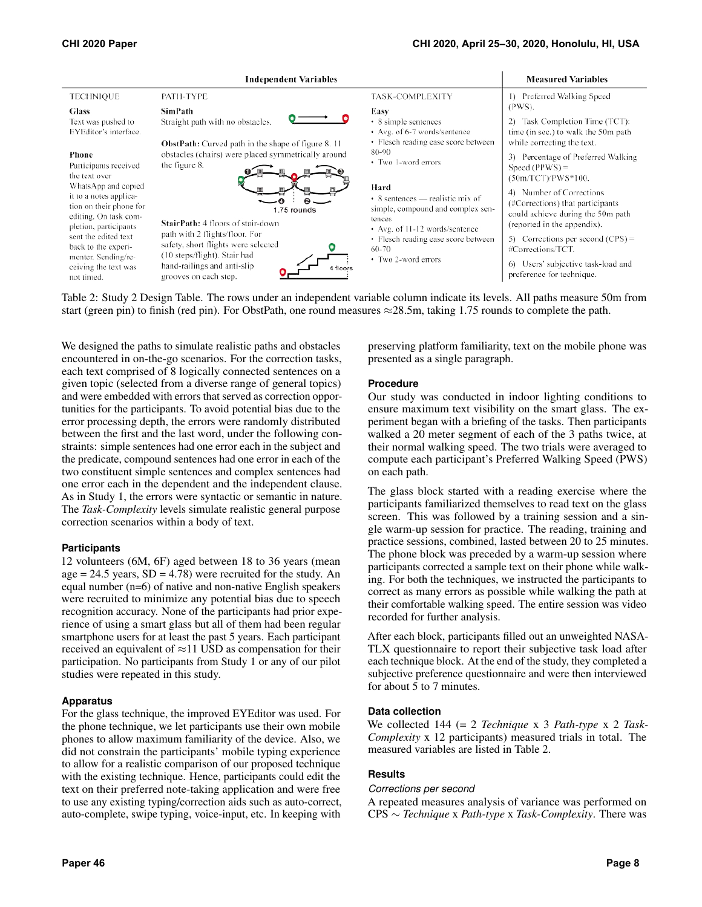<span id="page-7-0"></span>

Table 2: Study 2 Design Table. The rows under an independent variable column indicate its levels. All paths measure 50m from start (green pin) to finish (red pin). For ObstPath, one round measures  $\approx$ 28.5m, taking 1.75 rounds to complete the path.

We designed the paths to simulate realistic paths and obstacles encountered in on-the-go scenarios. For the correction tasks, each text comprised of 8 logically connected sentences on a given topic (selected from a diverse range of general topics) and were embedded with errors that served as correction opportunities for the participants. To avoid potential bias due to the error processing depth, the errors were randomly distributed between the first and the last word, under the following constraints: simple sentences had one error each in the subject and the predicate, compound sentences had one error in each of the two constituent simple sentences and complex sentences had one error each in the dependent and the independent clause. As in Study 1, the errors were syntactic or semantic in nature. The *Task-Complexity* levels simulate realistic general purpose correction scenarios within a body of text.

### **Participants**

12 volunteers (6M, 6F) aged between 18 to 36 years (mean age  $= 24.5$  years,  $SD = 4.78$ ) were recruited for the study. An equal number (n=6) of native and non-native English speakers were recruited to minimize any potential bias due to speech recognition accuracy. None of the participants had prior experience of using a smart glass but all of them had been regular smartphone users for at least the past 5 years. Each participant received an equivalent of  $\approx$ 11 USD as compensation for their participation. No participants from Study 1 or any of our pilot studies were repeated in this study.

### **Apparatus**

For the glass technique, the improved EYEditor was used. For the phone technique, we let participants use their own mobile phones to allow maximum familiarity of the device. Also, we did not constrain the participants' mobile typing experience to allow for a realistic comparison of our proposed technique with the existing technique. Hence, participants could edit the text on their preferred note-taking application and were free to use any existing typing/correction aids such as auto-correct, auto-complete, swipe typing, voice-input, etc. In keeping with

preserving platform familiarity, text on the mobile phone was presented as a single paragraph.

### **Procedure**

Our study was conducted in indoor lighting conditions to ensure maximum text visibility on the smart glass. The experiment began with a briefing of the tasks. Then participants walked a 20 meter segment of each of the 3 paths twice, at their normal walking speed. The two trials were averaged to compute each participant's Preferred Walking Speed (PWS) on each path.

The glass block started with a reading exercise where the participants familiarized themselves to read text on the glass screen. This was followed by a training session and a single warm-up session for practice. The reading, training and practice sessions, combined, lasted between 20 to 25 minutes. The phone block was preceded by a warm-up session where participants corrected a sample text on their phone while walking. For both the techniques, we instructed the participants to correct as many errors as possible while walking the path at their comfortable walking speed. The entire session was video recorded for further analysis.

After each block, participants filled out an unweighted NASA-TLX questionnaire to report their subjective task load after each technique block. At the end of the study, they completed a subjective preference questionnaire and were then interviewed for about 5 to 7 minutes.

### **Data collection**

We collected 144 (= 2 *Technique* x 3 *Path-type* x 2 *Task-Complexity* x 12 participants) measured trials in total. The measured variables are listed in Table [2.](#page-7-0)

### **Results**

### *Corrections per second*

A repeated measures analysis of variance was performed on CPS ∼ *Technique* x *Path-type* x *Task-Complexity*. There was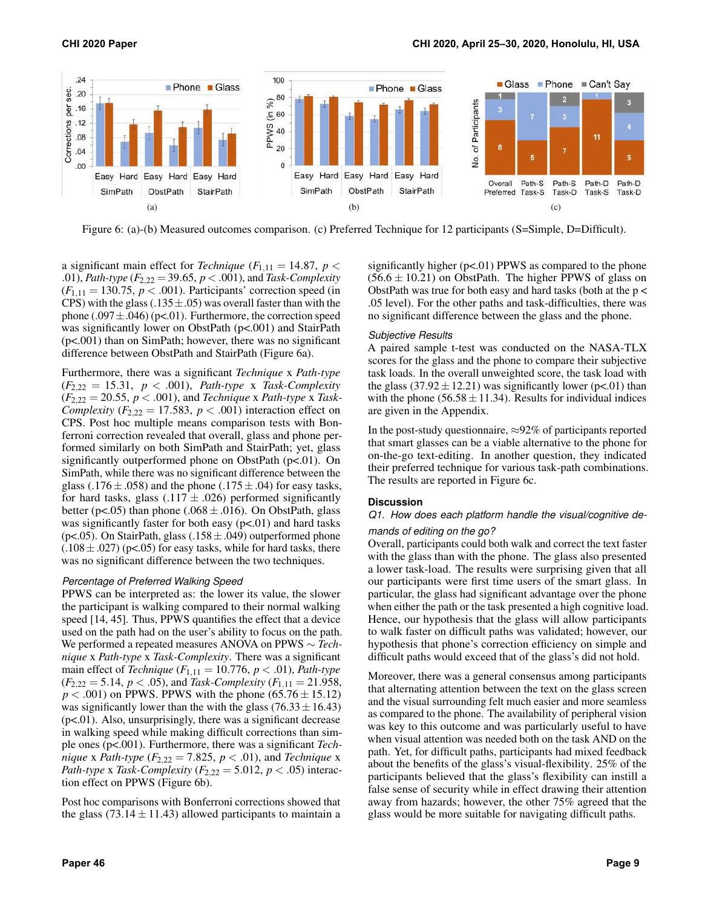<span id="page-8-0"></span>

Figure 6: (a)-(b) Measured outcomes comparison. (c) Preferred Technique for 12 participants (S=Simple, D=Difficult).

a significant main effect for *Technique*  $(F_{1,11} = 14.87, p <$ .01), *Path-type* (*F*2,22 = 39.65, *p* < .001), and *Task-Complexity*   $(F_{1,11} = 130.75, p < .001)$ . Participants' correction speed (in CPS) with the glass (.135 $\pm$ .05) was overall faster than with the phone  $(.097 \pm .046)$  (p<.01). Furthermore, the correction speed was significantly lower on ObstPath ( $p<.001$ ) and StairPath (p<.001) than on SimPath; however, there was no significant difference between ObstPath and StairPath (Figure [6a\)](#page-8-0).

Furthermore, there was a significant *Technique* x *Path-type*   $(F_{2,22} = 15.31, p < .001)$ , *Path-type* x *Task-Complexity*  $(F_{2,22} = 20.55, p < .001)$ , and *Technique x Path-type x Task-Complexity*  $(F_{2,22} = 17.583, p < .001)$  interaction effect on CPS. Post hoc multiple means comparison tests with Bonferroni correction revealed that overall, glass and phone performed similarly on both SimPath and StairPath; yet, glass significantly outperformed phone on ObstPath (p<.01). On SimPath, while there was no significant difference between the glass (.176  $\pm$  .058) and the phone (.175  $\pm$  .04) for easy tasks, for hard tasks, glass  $(.117 \pm .026)$  performed significantly better ( $p$ <.05) than phone (.068  $\pm$ .016). On ObstPath, glass was significantly faster for both easy  $(p<.01)$  and hard tasks (p<.05). On StairPath, glass  $(.158 \pm .049)$  outperformed phone  $(.108 \pm .027)$  (p<.05) for easy tasks, while for hard tasks, there was no significant difference between the two techniques.

#### *Percentage of Preferred Walking Speed*

PPWS can be interpreted as: the lower its value, the slower the participant is walking compared to their normal walking speed [\[14,](#page-10-22) [45\]](#page-11-22). Thus, PPWS quantifies the effect that a device used on the path had on the user's ability to focus on the path. We performed a repeated measures ANOVA on PPWS ∼ *Technique* x *Path-type* x *Task-Complexity*. There was a significant main effect of *Technique*  $(F_{1,11} = 10.776, p < .01)$ , *Path-type*  $(F_{2,22} = 5.14, p < .05)$ , and *Task-Complexity*  $(F_{1,11} = 21.958,$  $p < .001$ ) on PPWS. PPWS with the phone (65.76  $\pm$  15.12) was significantly lower than the with the glass  $(76.33 \pm 16.43)$  $(p<.01)$ . Also, unsurprisingly, there was a significant decrease in walking speed while making difficult corrections than simple ones (p<.001). Furthermore, there was a significant *Technique x Path-type*  $(F_{2,22} = 7.825, p < .01)$ , and *Technique x Path-type x Task-Complexity*  $(F_{2,22} = 5.012, p < .05)$  interaction effect on PPWS (Figure [6b\)](#page-8-0).

Post hoc comparisons with Bonferroni corrections showed that the glass (73.14  $\pm$  11.43) allowed participants to maintain a

significantly higher  $(p<.01)$  PPWS as compared to the phone  $(56.6 \pm 10.21)$  on ObstPath. The higher PPWS of glass on ObstPath was true for both easy and hard tasks (both at the  $p <$ .05 level). For the other paths and task-difficulties, there was no significant difference between the glass and the phone.

#### *Subjective Results*

A paired sample t-test was conducted on the NASA-TLX scores for the glass and the phone to compare their subjective task loads. In the overall unweighted score, the task load with the glass  $(37.92 \pm 12.21)$  was significantly lower (p<.01) than with the phone ( $56.58 \pm 11.34$ ). Results for individual indices are given in the Appendix.

In the post-study questionnaire,  $\approx$ 92% of participants reported that smart glasses can be a viable alternative to the phone for on-the-go text-editing. In another question, they indicated their preferred technique for various task-path combinations. The results are reported in Figure [6c.](#page-8-0)

### **Discussion**

### *Q1. How does each platform handle the visual/cognitive demands of editing on the go?*

Overall, participants could both walk and correct the text faster with the glass than with the phone. The glass also presented a lower task-load. The results were surprising given that all our participants were first time users of the smart glass. In particular, the glass had significant advantage over the phone when either the path or the task presented a high cognitive load. Hence, our hypothesis that the glass will allow participants to walk faster on difficult paths was validated; however, our hypothesis that phone's correction efficiency on simple and difficult paths would exceed that of the glass's did not hold.

Moreover, there was a general consensus among participants that alternating attention between the text on the glass screen and the visual surrounding felt much easier and more seamless as compared to the phone. The availability of peripheral vision was key to this outcome and was particularly useful to have when visual attention was needed both on the task AND on the path. Yet, for difficult paths, participants had mixed feedback about the benefits of the glass's visual-flexibility. 25% of the participants believed that the glass's flexibility can instill a false sense of security while in effect drawing their attention away from hazards; however, the other 75% agreed that the glass would be more suitable for navigating difficult paths.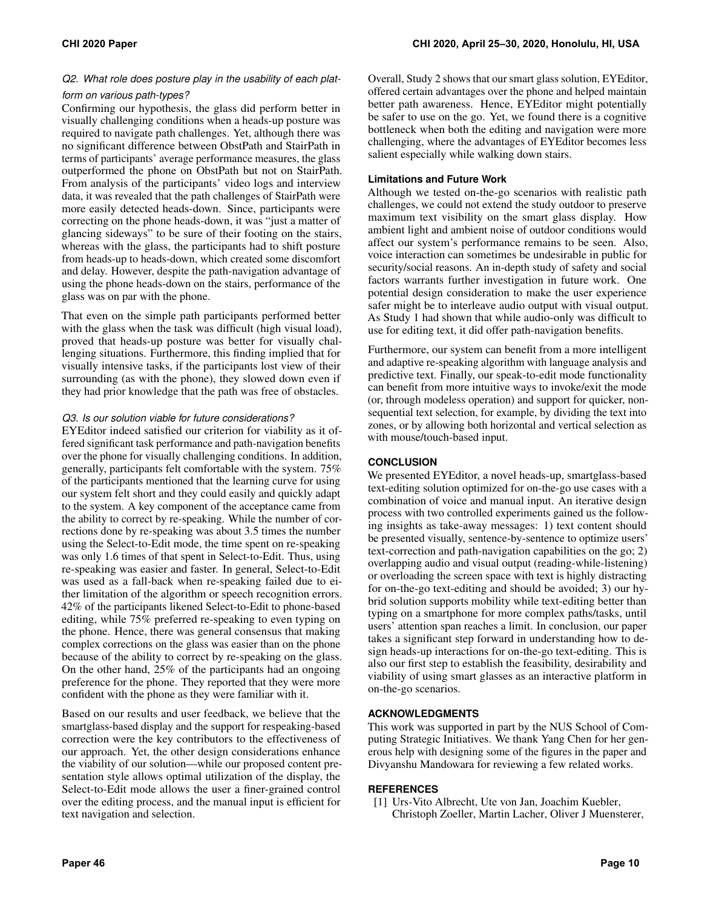### *Q2. What role does posture play in the usability of each platform on various path-types?*

Confirming our hypothesis, the glass did perform better in visually challenging conditions when a heads-up posture was required to navigate path challenges. Yet, although there was no significant difference between ObstPath and StairPath in terms of participants' average performance measures, the glass outperformed the phone on ObstPath but not on StairPath. From analysis of the participants' video logs and interview data, it was revealed that the path challenges of StairPath were more easily detected heads-down. Since, participants were correcting on the phone heads-down, it was "just a matter of glancing sideways" to be sure of their footing on the stairs, whereas with the glass, the participants had to shift posture from heads-up to heads-down, which created some discomfort and delay. However, despite the path-navigation advantage of using the phone heads-down on the stairs, performance of the glass was on par with the phone.

That even on the simple path participants performed better with the glass when the task was difficult (high visual load), proved that heads-up posture was better for visually challenging situations. Furthermore, this finding implied that for visually intensive tasks, if the participants lost view of their surrounding (as with the phone), they slowed down even if they had prior knowledge that the path was free of obstacles.

### *Q3. Is our solution viable for future considerations?*

EYEditor indeed satisfied our criterion for viability as it offered significant task performance and path-navigation benefits over the phone for visually challenging conditions. In addition, generally, participants felt comfortable with the system. 75% of the participants mentioned that the learning curve for using our system felt short and they could easily and quickly adapt to the system. A key component of the acceptance came from the ability to correct by re-speaking. While the number of corrections done by re-speaking was about 3.5 times the number using the Select-to-Edit mode, the time spent on re-speaking was only 1.6 times of that spent in Select-to-Edit. Thus, using re-speaking was easier and faster. In general, Select-to-Edit was used as a fall-back when re-speaking failed due to either limitation of the algorithm or speech recognition errors. 42% of the participants likened Select-to-Edit to phone-based editing, while 75% preferred re-speaking to even typing on the phone. Hence, there was general consensus that making complex corrections on the glass was easier than on the phone because of the ability to correct by re-speaking on the glass. On the other hand, 25% of the participants had an ongoing preference for the phone. They reported that they were more confident with the phone as they were familiar with it.

Based on our results and user feedback, we believe that the smartglass-based display and the support for respeaking-based correction were the key contributors to the effectiveness of our approach. Yet, the other design considerations enhance the viability of our solution—while our proposed content presentation style allows optimal utilization of the display, the Select-to-Edit mode allows the user a finer-grained control over the editing process, and the manual input is efficient for text navigation and selection.

Overall, Study 2 shows that our smart glass solution, EYEditor, offered certain advantages over the phone and helped maintain better path awareness. Hence, EYEditor might potentially be safer to use on the go. Yet, we found there is a cognitive bottleneck when both the editing and navigation were more challenging, where the advantages of EYEditor becomes less salient especially while walking down stairs.

### **Limitations and Future Work**

Although we tested on-the-go scenarios with realistic path challenges, we could not extend the study outdoor to preserve maximum text visibility on the smart glass display. How ambient light and ambient noise of outdoor conditions would affect our system's performance remains to be seen. Also, voice interaction can sometimes be undesirable in public for security/social reasons. An in-depth study of safety and social factors warrants further investigation in future work. One potential design consideration to make the user experience safer might be to interleave audio output with visual output. As Study 1 had shown that while audio-only was difficult to use for editing text, it did offer path-navigation benefits.

Furthermore, our system can benefit from a more intelligent and adaptive re-speaking algorithm with language analysis and predictive text. Finally, our speak-to-edit mode functionality can benefit from more intuitive ways to invoke/exit the mode (or, through modeless operation) and support for quicker, nonsequential text selection, for example, by dividing the text into zones, or by allowing both horizontal and vertical selection as with mouse/touch-based input.

### **CONCLUSION**

We presented EYEditor, a novel heads-up, smartglass-based text-editing solution optimized for on-the-go use cases with a combination of voice and manual input. An iterative design process with two controlled experiments gained us the following insights as take-away messages: 1) text content should be presented visually, sentence-by-sentence to optimize users' text-correction and path-navigation capabilities on the go; 2) overlapping audio and visual output (reading-while-listening) or overloading the screen space with text is highly distracting for on-the-go text-editing and should be avoided; 3) our hybrid solution supports mobility while text-editing better than typing on a smartphone for more complex paths/tasks, until users' attention span reaches a limit. In conclusion, our paper takes a significant step forward in understanding how to design heads-up interactions for on-the-go text-editing. This is also our first step to establish the feasibility, desirability and viability of using smart glasses as an interactive platform in on-the-go scenarios.

### **ACKNOWLEDGMENTS**

This work was supported in part by the NUS School of Computing Strategic Initiatives. We thank Yang Chen for her generous help with designing some of the figures in the paper and Divyanshu Mandowara for reviewing a few related works.

### <span id="page-9-0"></span>**REFERENCES**

[1] Urs-Vito Albrecht, Ute von Jan, Joachim Kuebler, Christoph Zoeller, Martin Lacher, Oliver J Muensterer,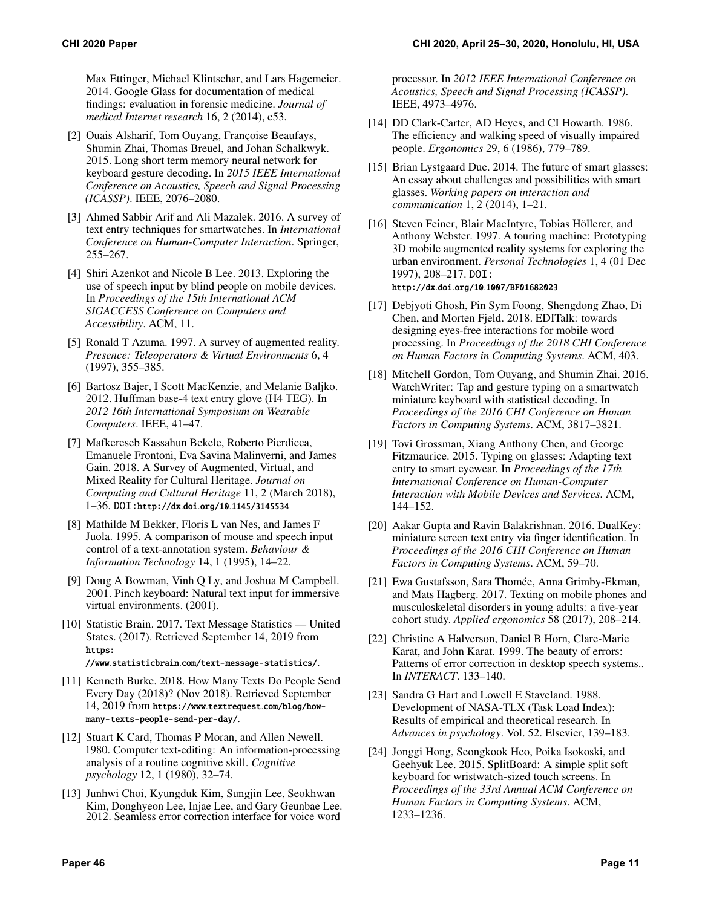Max Ettinger, Michael Klintschar, and Lars Hagemeier. 2014. Google Glass for documentation of medical findings: evaluation in forensic medicine. *Journal of medical Internet research* 16, 2 (2014), e53.

- <span id="page-10-14"></span>[2] Ouais Alsharif, Tom Ouyang, Françoise Beaufays, Shumin Zhai, Thomas Breuel, and Johan Schalkwyk. 2015. Long short term memory neural network for keyboard gesture decoding. In *2015 IEEE International Conference on Acoustics, Speech and Signal Processing (ICASSP)*. IEEE, 2076–2080.
- <span id="page-10-9"></span>[3] Ahmed Sabbir Arif and Ali Mazalek. 2016. A survey of text entry techniques for smartwatches. In *International Conference on Human-Computer Interaction*. Springer, 255–267.
- <span id="page-10-4"></span>[4] Shiri Azenkot and Nicole B Lee. 2013. Exploring the use of speech input by blind people on mobile devices. In *Proceedings of the 15th International ACM SIGACCESS Conference on Computers and Accessibility*. ACM, 11.
- <span id="page-10-5"></span>[5] Ronald T Azuma. 1997. A survey of augmented reality. *Presence: Teleoperators & Virtual Environments* 6, 4 (1997), 355–385.
- <span id="page-10-15"></span>[6] Bartosz Bajer, I Scott MacKenzie, and Melanie Baljko. 2012. Huffman base-4 text entry glove (H4 TEG). In *2012 16th International Symposium on Wearable Computers*. IEEE, 41–47.
- <span id="page-10-7"></span>[7] Mafkereseb Kassahun Bekele, Roberto Pierdicca, Emanuele Frontoni, Eva Savina Malinverni, and James Gain. 2018. A Survey of Augmented, Virtual, and Mixed Reality for Cultural Heritage. *Journal on Computing and Cultural Heritage* 11, 2 (March 2018), 1–36. DOI:http://dx.doi.org/10.[1145/3145534](http://dx.doi.org/10.1145/3145534)
- <span id="page-10-20"></span>[8] Mathilde M Bekker, Floris L van Nes, and James F Juola. 1995. A comparison of mouse and speech input control of a text-annotation system. *Behaviour & Information Technology* 14, 1 (1995), 14–22.
- <span id="page-10-13"></span>[9] Doug A Bowman, Vinh Q Ly, and Joshua M Campbell. 2001. Pinch keyboard: Natural text input for immersive virtual environments. (2001).
- <span id="page-10-0"></span>[10] Statistic Brain. 2017. Text Message Statistics — United States. (2017). Retrieved September 14, 2019 from [https:](https://www.statisticbrain.com/text-message-statistics/) //www.statisticbrain.[com/text-message-statistics/](https://www.statisticbrain.com/text-message-statistics/).
- <span id="page-10-1"></span>[11] Kenneth Burke. 2018. How Many Texts Do People Send Every Day (2018)? (Nov 2018). Retrieved September 14, 2019 from https://www.textrequest.[com/blog/how](https://www.textrequest.com/blog/how-many-texts-people-send-per-day/)[many-texts-people-send-per-day/](https://www.textrequest.com/blog/how-many-texts-people-send-per-day/).
- <span id="page-10-16"></span>[12] Stuart K Card, Thomas P Moran, and Allen Newell. 1980. Computer text-editing: An information-processing analysis of a routine cognitive skill. *Cognitive psychology* 12, 1 (1980), 32–74.
- <span id="page-10-18"></span>[13] Junhwi Choi, Kyungduk Kim, Sungjin Lee, Seokhwan Kim, Donghyeon Lee, Injae Lee, and Gary Geunbae Lee. 2012. Seamless error correction interface for voice word

processor. In *2012 IEEE International Conference on Acoustics, Speech and Signal Processing (ICASSP)*. IEEE, 4973–4976.

- <span id="page-10-22"></span>[14] DD Clark-Carter, AD Heyes, and CI Howarth. 1986. The efficiency and walking speed of visually impaired people. *Ergonomics* 29, 6 (1986), 779–789.
- <span id="page-10-3"></span>[15] Brian Lystgaard Due. 2014. The future of smart glasses: An essay about challenges and possibilities with smart glasses. *Working papers on interaction and communication* 1, 2 (2014), 1–21.
- <span id="page-10-6"></span>[16] Steven Feiner, Blair MacIntyre, Tobias Höllerer, and Anthony Webster. 1997. A touring machine: Prototyping 3D mobile augmented reality systems for exploring the urban environment. *Personal Technologies* 1, 4 (01 Dec 1997), 208–217. DOI: http://dx.doi.org/10.[1007/BF01682023](http://dx.doi.org/10.1007/BF01682023)
- <span id="page-10-17"></span>[17] Debjyoti Ghosh, Pin Sym Foong, Shengdong Zhao, Di Chen, and Morten Fjeld. 2018. EDITalk: towards designing eyes-free interactions for mobile word processing. In *Proceedings of the 2018 CHI Conference on Human Factors in Computing Systems*. ACM, 403.
- <span id="page-10-10"></span>[18] Mitchell Gordon, Tom Ouyang, and Shumin Zhai. 2016. WatchWriter: Tap and gesture typing on a smartwatch miniature keyboard with statistical decoding. In *Proceedings of the 2016 CHI Conference on Human Factors in Computing Systems*. ACM, 3817–3821.
- <span id="page-10-8"></span>[19] Tovi Grossman, Xiang Anthony Chen, and George Fitzmaurice. 2015. Typing on glasses: Adapting text entry to smart eyewear. In *Proceedings of the 17th International Conference on Human-Computer Interaction with Mobile Devices and Services*. ACM, 144–152.
- <span id="page-10-11"></span>[20] Aakar Gupta and Ravin Balakrishnan. 2016. DualKey: miniature screen text entry via finger identification. In *Proceedings of the 2016 CHI Conference on Human Factors in Computing Systems*. ACM, 59–70.
- <span id="page-10-2"></span>[21] Ewa Gustafsson, Sara Thomée, Anna Grimby-Ekman, and Mats Hagberg. 2017. Texting on mobile phones and musculoskeletal disorders in young adults: a five-year cohort study. *Applied ergonomics* 58 (2017), 208–214.
- <span id="page-10-19"></span>[22] Christine A Halverson, Daniel B Horn, Clare-Marie Karat, and John Karat. 1999. The beauty of errors: Patterns of error correction in desktop speech systems.. In *INTERACT*. 133–140.
- <span id="page-10-21"></span>[23] Sandra G Hart and Lowell E Staveland. 1988. Development of NASA-TLX (Task Load Index): Results of empirical and theoretical research. In *Advances in psychology*. Vol. 52. Elsevier, 139–183.
- <span id="page-10-12"></span>[24] Jonggi Hong, Seongkook Heo, Poika Isokoski, and Geehyuk Lee. 2015. SplitBoard: A simple split soft keyboard for wristwatch-sized touch screens. In *Proceedings of the 33rd Annual ACM Conference on Human Factors in Computing Systems*. ACM, 1233–1236.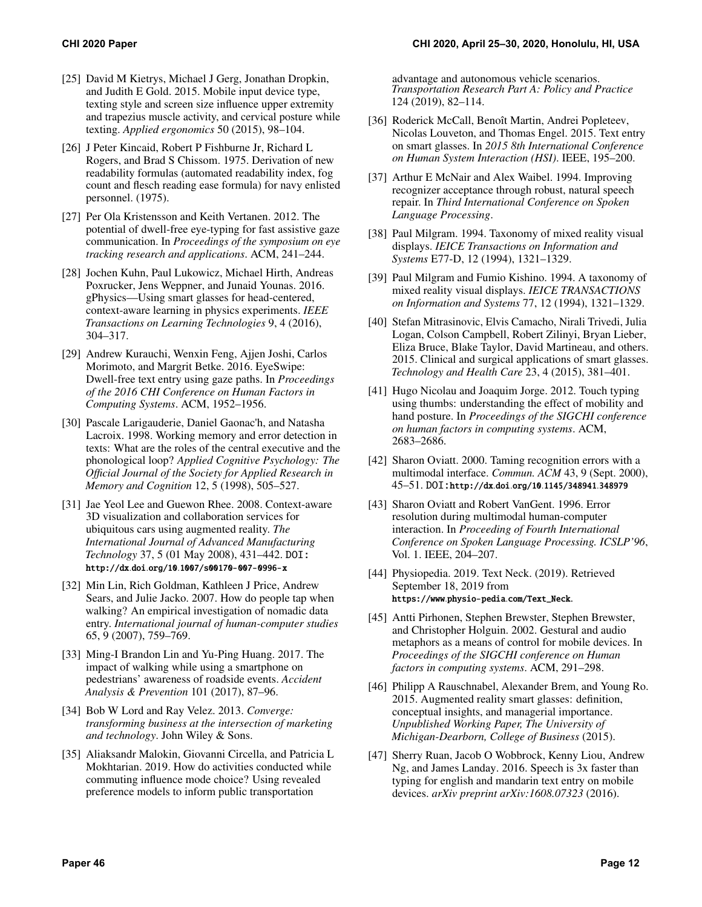- <span id="page-11-4"></span>[25] David M Kietrys, Michael J Gerg, Jonathan Dropkin, and Judith E Gold. 2015. Mobile input device type, texting style and screen size influence upper extremity and trapezius muscle activity, and cervical posture while texting. *Applied ergonomics* 50 (2015), 98–104.
- <span id="page-11-20"></span>[26] J Peter Kincaid, Robert P Fishburne Jr, Richard L Rogers, and Brad S Chissom. 1975. Derivation of new readability formulas (automated readability index, fog count and flesch reading ease formula) for navy enlisted personnel. (1975).
- <span id="page-11-15"></span>[27] Per Ola Kristensson and Keith Vertanen. 2012. The potential of dwell-free eye-typing for fast assistive gaze communication. In *Proceedings of the symposium on eye tracking research and applications*. ACM, 241–244.
- <span id="page-11-14"></span>[28] Jochen Kuhn, Paul Lukowicz, Michael Hirth, Andreas Poxrucker, Jens Weppner, and Junaid Younas. 2016. gPhysics—Using smart glasses for head-centered, context-aware learning in physics experiments. *IEEE Transactions on Learning Technologies* 9, 4 (2016), 304–317.
- <span id="page-11-16"></span>[29] Andrew Kurauchi, Wenxin Feng, Ajjen Joshi, Carlos Morimoto, and Margrit Betke. 2016. EyeSwipe: Dwell-free text entry using gaze paths. In *Proceedings of the 2016 CHI Conference on Human Factors in Computing Systems*. ACM, 1952–1956.
- <span id="page-11-21"></span>[30] Pascale Larigauderie, Daniel Gaonac'h, and Natasha Lacroix. 1998. Working memory and error detection in texts: What are the roles of the central executive and the phonological loop? *Applied Cognitive Psychology: The Official Journal of the Society for Applied Research in Memory and Cognition* 12, 5 (1998), 505–527.
- <span id="page-11-12"></span>[31] Jae Yeol Lee and Guewon Rhee. 2008. Context-aware 3D visualization and collaboration services for ubiquitous cars using augmented reality. *The International Journal of Advanced Manufacturing Technology* 37, 5 (01 May 2008), 431–442. DOI: http://dx.doi.org/10.[1007/s00170-007-0996-x](http://dx.doi.org/10.1007/s00170-007-0996-x)
- <span id="page-11-1"></span>[32] Min Lin, Rich Goldman, Kathleen J Price, Andrew Sears, and Julie Jacko. 2007. How do people tap when walking? An empirical investigation of nomadic data entry. *International journal of human-computer studies*  65, 9 (2007), 759–769.
- <span id="page-11-0"></span>[33] Ming-I Brandon Lin and Yu-Ping Huang. 2017. The impact of walking while using a smartphone on pedestrians' awareness of roadside events. *Accident Analysis & Prevention* 101 (2017), 87–96.
- <span id="page-11-6"></span>[34] Bob W Lord and Ray Velez. 2013. *Converge: transforming business at the intersection of marketing and technology*. John Wiley & Sons.
- <span id="page-11-5"></span>[35] Aliaksandr Malokin, Giovanni Circella, and Patricia L Mokhtarian. 2019. How do activities conducted while commuting influence mode choice? Using revealed preference models to inform public transportation

advantage and autonomous vehicle scenarios. *Transportation Research Part A: Policy and Practice*  124 (2019), 82–114.

- <span id="page-11-7"></span>[36] Roderick McCall, Benoît Martin, Andrei Popleteev, Nicolas Louveton, and Thomas Engel. 2015. Text entry on smart glasses. In *2015 8th International Conference on Human System Interaction (HSI)*. IEEE, 195–200.
- <span id="page-11-17"></span>[37] Arthur E McNair and Alex Waibel. 1994. Improving recognizer acceptance through robust, natural speech repair. In *Third International Conference on Spoken Language Processing*.
- <span id="page-11-11"></span>[38] Paul Milgram. 1994. Taxonomy of mixed reality visual displays. *IEICE Transactions on Information and Systems* E77-D, 12 (1994), 1321–1329.
- <span id="page-11-9"></span>[39] Paul Milgram and Fumio Kishino. 1994. A taxonomy of mixed reality visual displays. *IEICE TRANSACTIONS on Information and Systems* 77, 12 (1994), 1321–1329.
- <span id="page-11-13"></span>[40] Stefan Mitrasinovic, Elvis Camacho, Nirali Trivedi, Julia Logan, Colson Campbell, Robert Zilinyi, Bryan Lieber, Eliza Bruce, Blake Taylor, David Martineau, and others. 2015. Clinical and surgical applications of smart glasses. *Technology and Health Care* 23, 4 (2015), 381–401.
- <span id="page-11-2"></span>[41] Hugo Nicolau and Joaquim Jorge. 2012. Touch typing using thumbs: understanding the effect of mobility and hand posture. In *Proceedings of the SIGCHI conference on human factors in computing systems*. ACM, 2683–2686.
- <span id="page-11-19"></span>[42] Sharon Oviatt. 2000. Taming recognition errors with a multimodal interface. *Commun. ACM* 43, 9 (Sept. 2000), 45–51. DOI:http://dx.doi.org/10.[1145/348941](http://dx.doi.org/10.1145/348941.348979).348979
- <span id="page-11-18"></span>[43] Sharon Oviatt and Robert VanGent. 1996. Error resolution during multimodal human-computer interaction. In *Proceeding of Fourth International Conference on Spoken Language Processing. ICSLP'96*, Vol. 1. IEEE, 204–207.
- <span id="page-11-3"></span>[44] Physiopedia. 2019. Text Neck. (2019). Retrieved September 18, 2019 from https://www.physio-pedia.[com/Text\\_Neck](https://www.physio-pedia.com/Text_Neck).
- <span id="page-11-22"></span>[45] Antti Pirhonen, Stephen Brewster, Stephen Brewster, and Christopher Holguin. 2002. Gestural and audio metaphors as a means of control for mobile devices. In *Proceedings of the SIGCHI conference on Human factors in computing systems*. ACM, 291–298.
- <span id="page-11-10"></span>[46] Philipp A Rauschnabel, Alexander Brem, and Young Ro. 2015. Augmented reality smart glasses: definition, conceptual insights, and managerial importance. *Unpublished Working Paper, The University of Michigan-Dearborn, College of Business* (2015).
- <span id="page-11-8"></span>[47] Sherry Ruan, Jacob O Wobbrock, Kenny Liou, Andrew Ng, and James Landay. 2016. Speech is 3x faster than typing for english and mandarin text entry on mobile devices. *arXiv preprint arXiv:1608.07323* (2016).